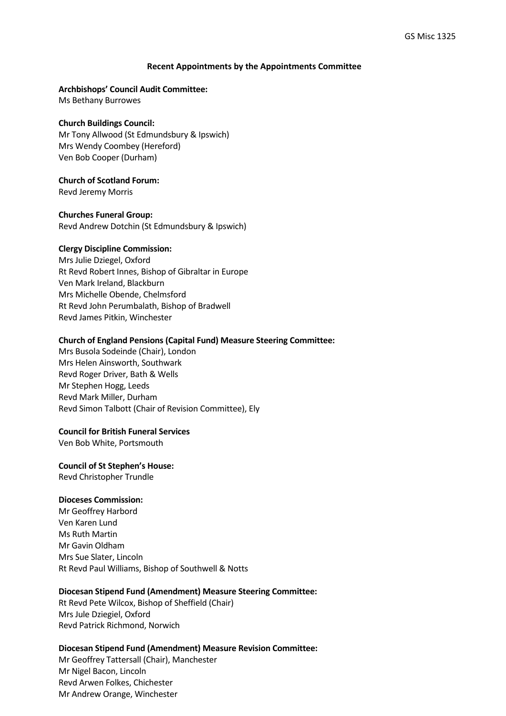## **Recent Appointments by the Appointments Committee**

## **Archbishops' Council Audit Committee:**

Ms Bethany Burrowes

## **Church Buildings Council:**

Mr Tony Allwood (St Edmundsbury & Ipswich) Mrs Wendy Coombey (Hereford) Ven Bob Cooper (Durham)

## **Church of Scotland Forum:**

Revd Jeremy Morris

## **Churches Funeral Group:**

Revd Andrew Dotchin (St Edmundsbury & Ipswich)

## **Clergy Discipline Commission:**

Mrs Julie Dziegel, Oxford Rt Revd Robert Innes, Bishop of Gibraltar in Europe Ven Mark Ireland, Blackburn Mrs Michelle Obende, Chelmsford Rt Revd John Perumbalath, Bishop of Bradwell Revd James Pitkin, Winchester

## **Church of England Pensions (Capital Fund) Measure Steering Committee:**

Mrs Busola Sodeinde (Chair), London Mrs Helen Ainsworth, Southwark Revd Roger Driver, Bath & Wells Mr Stephen Hogg, Leeds Revd Mark Miller, Durham Revd Simon Talbott (Chair of Revision Committee), Ely

## **Council for British Funeral Services**

Ven Bob White, Portsmouth

## **Council of St Stephen's House:**

Revd Christopher Trundle

## **Dioceses Commission:**

Mr Geoffrey Harbord Ven Karen Lund Ms Ruth Martin Mr Gavin Oldham Mrs Sue Slater, Lincoln Rt Revd Paul Williams, Bishop of Southwell & Notts

## **Diocesan Stipend Fund (Amendment) Measure Steering Committee:**

Rt Revd Pete Wilcox, Bishop of Sheffield (Chair) Mrs Jule Dziegiel, Oxford Revd Patrick Richmond, Norwich

## **Diocesan Stipend Fund (Amendment) Measure Revision Committee:**

Mr Geoffrey Tattersall (Chair), Manchester Mr Nigel Bacon, Lincoln Revd Arwen Folkes, Chichester Mr Andrew Orange, Winchester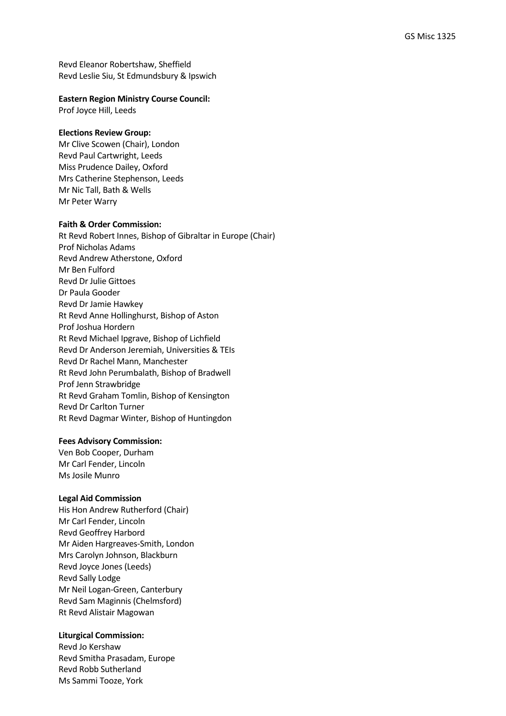Revd Eleanor Robertshaw, Sheffield Revd Leslie Siu, St Edmundsbury & Ipswich

## **Eastern Region Ministry Course Council:**

Prof Joyce Hill, Leeds

## **Elections Review Group:**

Mr Clive Scowen (Chair), London Revd Paul Cartwright, Leeds Miss Prudence Dailey, Oxford Mrs Catherine Stephenson, Leeds Mr Nic Tall, Bath & Wells Mr Peter Warry

## **Faith & Order Commission:**

Rt Revd Robert Innes, Bishop of Gibraltar in Europe (Chair) Prof Nicholas Adams Revd Andrew Atherstone, Oxford Mr Ben Fulford Revd Dr Julie Gittoes Dr Paula Gooder Revd Dr Jamie Hawkey Rt Revd Anne Hollinghurst, Bishop of Aston Prof Joshua Hordern Rt Revd Michael Ipgrave, Bishop of Lichfield Revd Dr Anderson Jeremiah, Universities & TEIs Revd Dr Rachel Mann, Manchester Rt Revd John Perumbalath, Bishop of Bradwell Prof Jenn Strawbridge Rt Revd Graham Tomlin, Bishop of Kensington Revd Dr Carlton Turner Rt Revd Dagmar Winter, Bishop of Huntingdon

## **Fees Advisory Commission:**

Ven Bob Cooper, Durham Mr Carl Fender, Lincoln Ms Josile Munro

## **Legal Aid Commission**

His Hon Andrew Rutherford (Chair) Mr Carl Fender, Lincoln Revd Geoffrey Harbord Mr Aiden Hargreaves-Smith, London Mrs Carolyn Johnson, Blackburn Revd Joyce Jones (Leeds) Revd Sally Lodge Mr Neil Logan-Green, Canterbury Revd Sam Maginnis (Chelmsford) Rt Revd Alistair Magowan

## **Liturgical Commission:**

Revd Jo Kershaw Revd Smitha Prasadam, Europe Revd Robb Sutherland Ms Sammi Tooze, York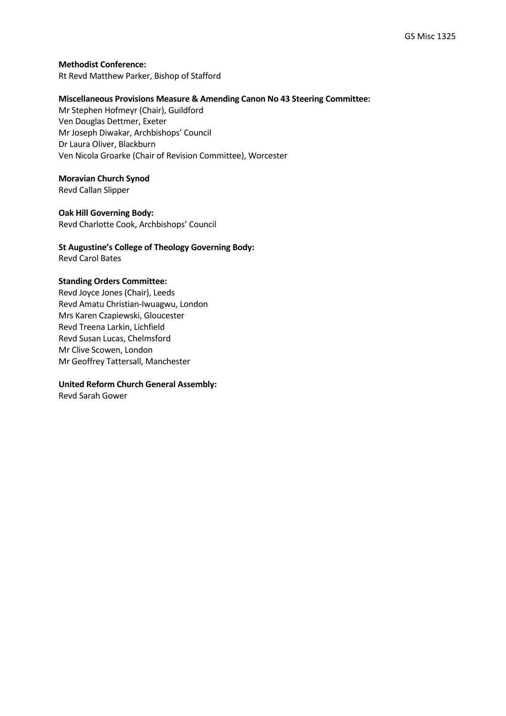**Methodist Conference:**  Rt Revd Matthew Parker, Bishop of Stafford

## **Miscellaneous Provisions Measure & Amending Canon No 43 Steering Committee:**

Mr Stephen Hofmeyr (Chair), Guildford Ven Douglas Dettmer, Exeter Mr Joseph Diwakar, Archbishops' Council Dr Laura Oliver, Blackburn Ven Nicola Groarke (Chair of Revision Committee), Worcester

## **Moravian Church Synod**

Revd Callan Slipper

## **Oak Hill Governing Body:**

Revd Charlotte Cook, Archbishops' Council

## **St Augustine's College of Theology Governing Body:**  Revd Carol Bates

## **Standing Orders Committee:**

Revd Joyce Jones (Chair), Leeds Revd Amatu Christian-Iwuagwu, London Mrs Karen Czapiewski, Gloucester Revd Treena Larkin, Lichfield Revd Susan Lucas, Chelmsford Mr Clive Scowen, London Mr Geoffrey Tattersall, Manchester

## **United Reform Church General Assembly:**

Revd Sarah Gower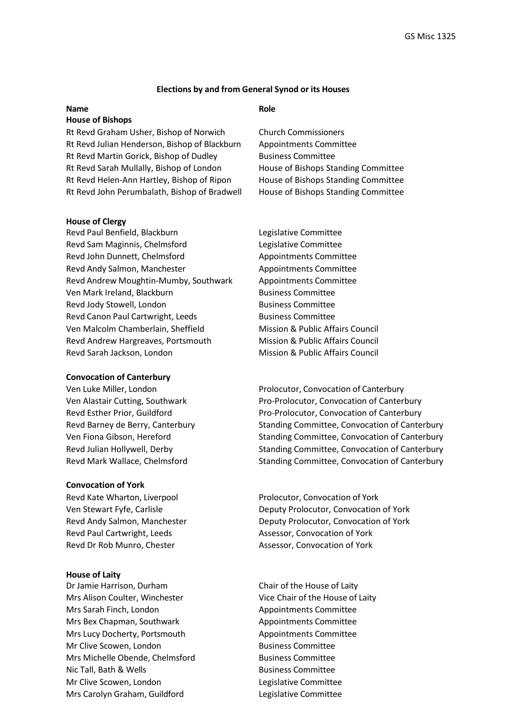## **Elections by and from General Synod or its Houses**

# **Name Role**

#### **House of Bishops**

Rt Revd Graham Usher, Bishop of Norwich Church Commissioners Rt Revd Julian Henderson, Bishop of Blackburn Appointments Committee Rt Revd Martin Gorick, Bishop of Dudley Business Committee Rt Revd Sarah Mullally, Bishop of London House of Bishops Standing Committee Rt Revd Helen-Ann Hartley, Bishop of Ripon House of Bishops Standing Committee Rt Revd John Perumbalath, Bishop of Bradwell House of Bishops Standing Committee

## **House of Clergy**

Revd Paul Benfield, Blackburn Legislative Committee Revd Sam Maginnis, Chelmsford Legislative Committee Revd John Dunnett, Chelmsford Appointments Committee Revd Andy Salmon, Manchester Appointments Committee Revd Andrew Moughtin-Mumby, Southwark Appointments Committee Ven Mark Ireland, Blackburn Business Committee Revd Jody Stowell, London Business Committee Revd Canon Paul Cartwright, Leeds Business Committee Ven Malcolm Chamberlain, Sheffield Mission & Public Affairs Council Revd Andrew Hargreaves, Portsmouth Mission & Public Affairs Council Revd Sarah Jackson, London Mission & Public Affairs Council

## **Convocation of Canterbury**

## **Convocation of York**

Revd Kate Wharton, Liverpool Prolocutor, Convocation of York Revd Paul Cartwright, Leeds Assessor, Convocation of York Revd Dr Rob Munro, Chester Assessor, Convocation of York

#### **House of Laity**

Dr Jamie Harrison, Durham Chair of the House of Laity Mrs Alison Coulter, Winchester Vice Chair of the House of Laity Mrs Sarah Finch, London Appointments Committee Mrs Bex Chapman, Southwark Appointments Committee Mrs Lucy Docherty, Portsmouth Appointments Committee Mr Clive Scowen, London Business Committee Mrs Michelle Obende, Chelmsford Business Committee Nic Tall, Bath & Wells Business Committee Mr Clive Scowen, London Legislative Committee Mrs Carolyn Graham, Guildford Legislative Committee

Ven Luke Miller, London Prolocutor, Convocation of Canterbury Ven Alastair Cutting, Southwark Pro-Prolocutor, Convocation of Canterbury Revd Esther Prior, Guildford **Pro-Prolocutor, Convocation of Canterbury** Revd Barney de Berry, Canterbury Standing Committee, Convocation of Canterbury Ven Fiona Gibson, Hereford Standing Committee, Convocation of Canterbury Revd Julian Hollywell, Derby The Standing Committee, Convocation of Canterbury Revd Mark Wallace, Chelmsford Standing Committee, Convocation of Canterbury

Ven Stewart Fyfe, Carlisle Deputy Prolocutor, Convocation of York Revd Andy Salmon, Manchester **Deputy Prolocutor, Convocation of York**